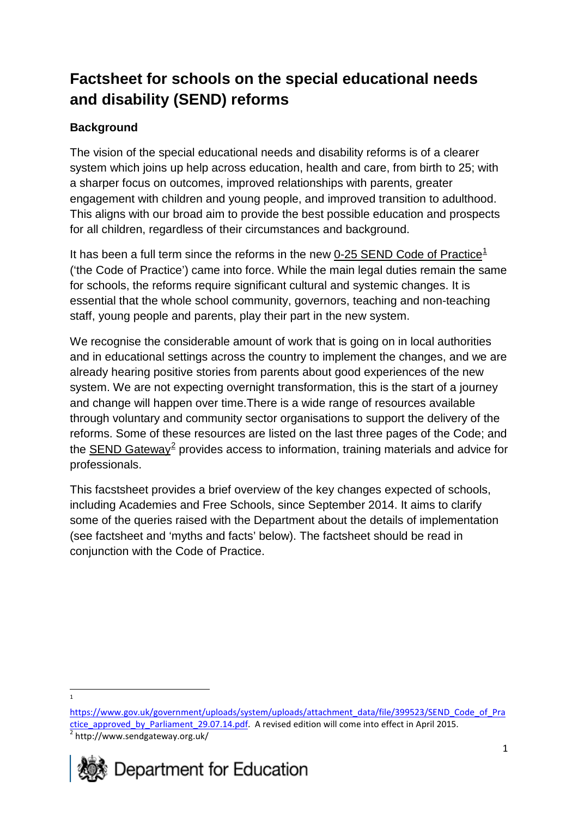# **Factsheet for schools on the special educational needs and disability (SEND) reforms**

# **Background**

The vision of the special educational needs and disability reforms is of a clearer system which joins up help across education, health and care, from birth to 25; with a sharper focus on outcomes, improved relationships with parents, greater engagement with children and young people, and improved transition to adulthood. This aligns with our broad aim to provide the best possible education and prospects for all children, regardless of their circumstances and background.

It has been a full term since the reforms in the new [0-25 SEND Code of Practice](https://www.gov.uk/government/publications/send-code-of-practice-0-to-25)<sup>[1](#page-0-0)</sup> ('the Code of Practice') came into force. While the main legal duties remain the same for schools, the reforms require significant cultural and systemic changes. It is essential that the whole school community, governors, teaching and non-teaching staff, young people and parents, play their part in the new system.

We recognise the considerable amount of work that is going on in local authorities and in educational settings across the country to implement the changes, and we are already hearing positive stories from parents about good experiences of the new system. We are not expecting overnight transformation, this is the start of a journey and change will happen over time.There is a wide range of resources available through voluntary and community sector organisations to support the delivery of the reforms. Some of these resources are listed on the last three pages of the Code; and the [SEND Gateway](http://www.sendgateway.org.uk/)<sup>[2](#page-0-1)</sup> provides access to information, training materials and advice for professionals.

This facstsheet provides a brief overview of the key changes expected of schools, including Academies and Free Schools, since September 2014. It aims to clarify some of the queries raised with the Department about the details of implementation (see factsheet and 'myths and facts' below). The factsheet should be read in conjunction with the Code of Practice.

1

 $\overline{a}$ 

<span id="page-0-1"></span><span id="page-0-0"></span>[https://www.gov.uk/government/uploads/system/uploads/attachment\\_data/file/399523/SEND\\_Code\\_of\\_Pra](https://www.gov.uk/government/uploads/system/uploads/attachment_data/file/399523/SEND_Code_of_Practice_approved_by_Parliament_29.07.14.pdf) [ctice\\_approved\\_by\\_Parliament\\_29.07.14.pdf.](https://www.gov.uk/government/uploads/system/uploads/attachment_data/file/399523/SEND_Code_of_Practice_approved_by_Parliament_29.07.14.pdf) A revised edition will come into effect in April 2015.  $\frac{2}{\pi}$  http://www.sendgateway.org.uk/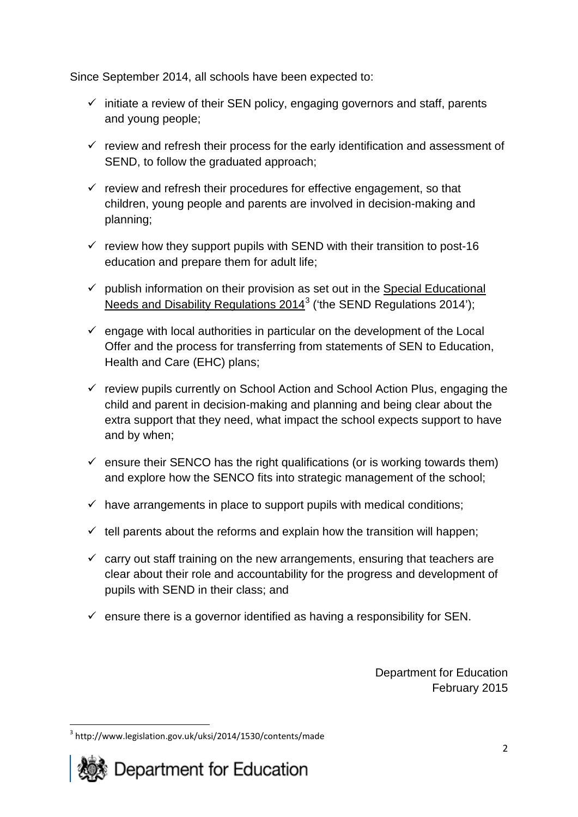Since September 2014, all schools have been expected to:

- $\checkmark$  initiate a review of their SEN policy, engaging governors and staff, parents and young people;
- $\checkmark$  review and refresh their process for the early identification and assessment of SEND, to follow the graduated approach;
- $\checkmark$  review and refresh their procedures for effective engagement, so that children, young people and parents are involved in decision-making and planning;
- $\checkmark$  review how they support pupils with SEND with their transition to post-16 education and prepare them for adult life;
- $\checkmark$  publish information on their provision as set out in the Special Educational [Needs and Disability Regulations 2014](http://www.legislation.gov.uk/uksi/2014/1530/contents/made)<sup>[3](#page-1-0)</sup> ('the SEND Regulations 2014');
- $\checkmark$  engage with local authorities in particular on the development of the Local Offer and the process for transferring from statements of SEN to Education, Health and Care (EHC) plans;
- $\checkmark$  review pupils currently on School Action and School Action Plus, engaging the child and parent in decision-making and planning and being clear about the extra support that they need, what impact the school expects support to have and by when;
- $\checkmark$  ensure their SENCO has the right qualifications (or is working towards them) and explore how the SENCO fits into strategic management of the school;
- $\checkmark$  have arrangements in place to support pupils with medical conditions:
- $\checkmark$  tell parents about the reforms and explain how the transition will happen;
- $\checkmark$  carry out staff training on the new arrangements, ensuring that teachers are clear about their role and accountability for the progress and development of pupils with SEND in their class; and
- $\checkmark$  ensure there is a governor identified as having a responsibility for SEN.

Department for Education February 2015

<span id="page-1-0"></span><sup>3</sup> http://www.legislation.gov.uk/uksi/2014/1530/contents/made **.** 

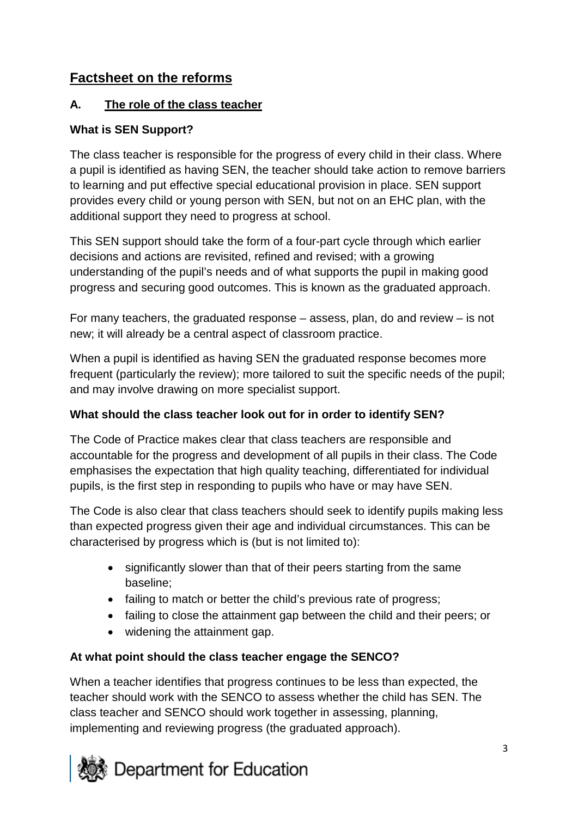# **Factsheet on the reforms**

#### **A. The role of the class teacher**

#### **What is SEN Support?**

The class teacher is responsible for the progress of every child in their class. Where a pupil is identified as having SEN, the teacher should take action to remove barriers to learning and put effective special educational provision in place. SEN support provides every child or young person with SEN, but not on an EHC plan, with the additional support they need to progress at school.

This SEN support should take the form of a four-part cycle through which earlier decisions and actions are revisited, refined and revised; with a growing understanding of the pupil's needs and of what supports the pupil in making good progress and securing good outcomes. This is known as the graduated approach.

For many teachers, the graduated response – assess, plan, do and review – is not new; it will already be a central aspect of classroom practice.

When a pupil is identified as having SEN the graduated response becomes more frequent (particularly the review); more tailored to suit the specific needs of the pupil; and may involve drawing on more specialist support.

#### **What should the class teacher look out for in order to identify SEN?**

The Code of Practice makes clear that class teachers are responsible and accountable for the progress and development of all pupils in their class. The Code emphasises the expectation that high quality teaching, differentiated for individual pupils, is the first step in responding to pupils who have or may have SEN.

The Code is also clear that class teachers should seek to identify pupils making less than expected progress given their age and individual circumstances. This can be characterised by progress which is (but is not limited to):

- significantly slower than that of their peers starting from the same baseline;
- failing to match or better the child's previous rate of progress;
- failing to close the attainment gap between the child and their peers; or
- widening the attainment gap.

### **At what point should the class teacher engage the SENCO?**

When a teacher identifies that progress continues to be less than expected, the teacher should work with the SENCO to assess whether the child has SEN. The class teacher and SENCO should work together in assessing, planning, implementing and reviewing progress (the graduated approach).

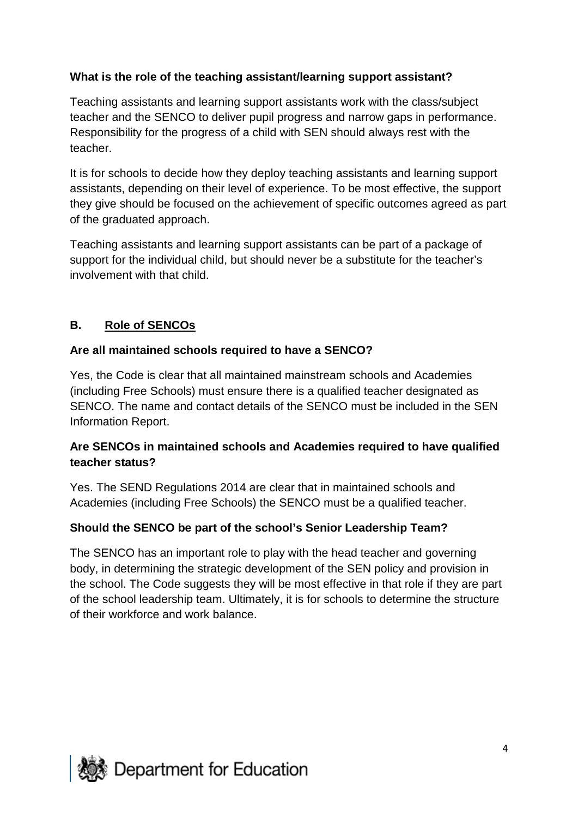### **What is the role of the teaching assistant/learning support assistant?**

Teaching assistants and learning support assistants work with the class/subject teacher and the SENCO to deliver pupil progress and narrow gaps in performance. Responsibility for the progress of a child with SEN should always rest with the teacher.

It is for schools to decide how they deploy teaching assistants and learning support assistants, depending on their level of experience. To be most effective, the support they give should be focused on the achievement of specific outcomes agreed as part of the graduated approach.

Teaching assistants and learning support assistants can be part of a package of support for the individual child, but should never be a substitute for the teacher's involvement with that child.

### **B. Role of SENCOs**

#### **Are all maintained schools required to have a SENCO?**

Yes, the Code is clear that all maintained mainstream schools and Academies (including Free Schools) must ensure there is a qualified teacher designated as SENCO. The name and contact details of the SENCO must be included in the SEN Information Report.

#### **Are SENCOs in maintained schools and Academies required to have qualified teacher status?**

Yes. The SEND Regulations 2014 are clear that in maintained schools and Academies (including Free Schools) the SENCO must be a qualified teacher.

### **Should the SENCO be part of the school's Senior Leadership Team?**

The SENCO has an important role to play with the head teacher and governing body, in determining the strategic development of the SEN policy and provision in the school. The Code suggests they will be most effective in that role if they are part of the school leadership team. Ultimately, it is for schools to determine the structure of their workforce and work balance.

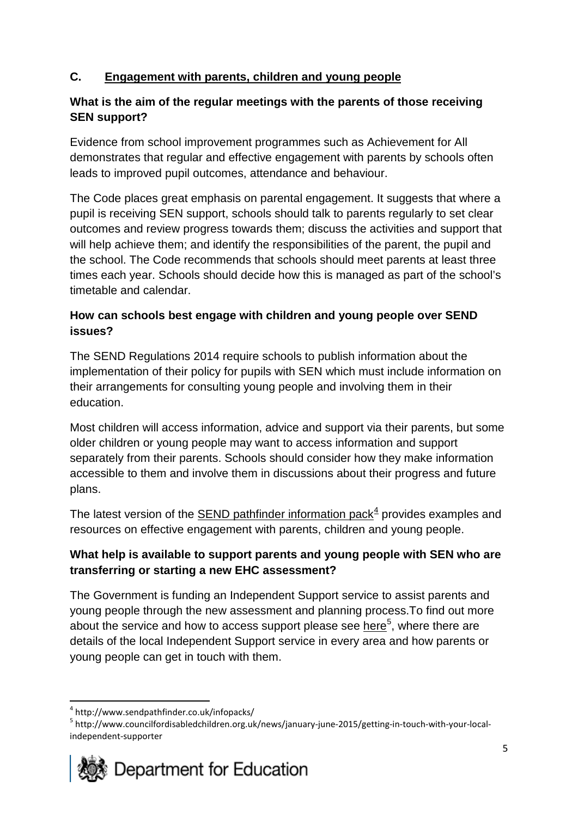### **C. Engagement with parents, children and young people**

### **What is the aim of the regular meetings with the parents of those receiving SEN support?**

Evidence from school improvement programmes such as Achievement for All demonstrates that regular and effective engagement with parents by schools often leads to improved pupil outcomes, attendance and behaviour.

The Code places great emphasis on parental engagement. It suggests that where a pupil is receiving SEN support, schools should talk to parents regularly to set clear outcomes and review progress towards them; discuss the activities and support that will help achieve them; and identify the responsibilities of the parent, the pupil and the school. The Code recommends that schools should meet parents at least three times each year. Schools should decide how this is managed as part of the school's timetable and calendar.

### **How can schools best engage with children and young people over SEND issues?**

The SEND Regulations 2014 require schools to publish information about the implementation of their policy for pupils with SEN which must include information on their arrangements for consulting young people and involving them in their education.

Most children will access information, advice and support via their parents, but some older children or young people may want to access information and support separately from their parents. Schools should consider how they make information accessible to them and involve them in discussions about their progress and future plans.

The latest version of the SEND [pathfinder information pack](http://www.sendpathfinder.co.uk/infopacks/) $4$  provides examples and resources on effective engagement with parents, children and young people.

### **What help is available to support parents and young people with SEN who are transferring or starting a new EHC assessment?**

The Government is funding an Independent Support service to assist parents and young people through the new assessment and planning process.To find out more about the service and how to access support please see [here](http://www.councilfordisabledchildren.org.uk/news/january-june-2015/getting-in-touch-with-your-local-independent-supporter)<sup>[5](#page-4-1)</sup>, where there are details of the local Independent Support service in every area and how parents or young people can get in touch with them.

**.** 

<sup>4</sup> http://www.sendpathfinder.co.uk/infopacks/

<span id="page-4-1"></span><span id="page-4-0"></span><sup>5</sup> [http://www.councilfordisabledchildren.org.uk/news/january-june-2015/getting-in-touch-with-your-local](http://www.councilfordisabledchildren.org.uk/news/january-june-2015/getting-in-touch-with-your-local-independent-supporter)[independent-supporter](http://www.councilfordisabledchildren.org.uk/news/january-june-2015/getting-in-touch-with-your-local-independent-supporter)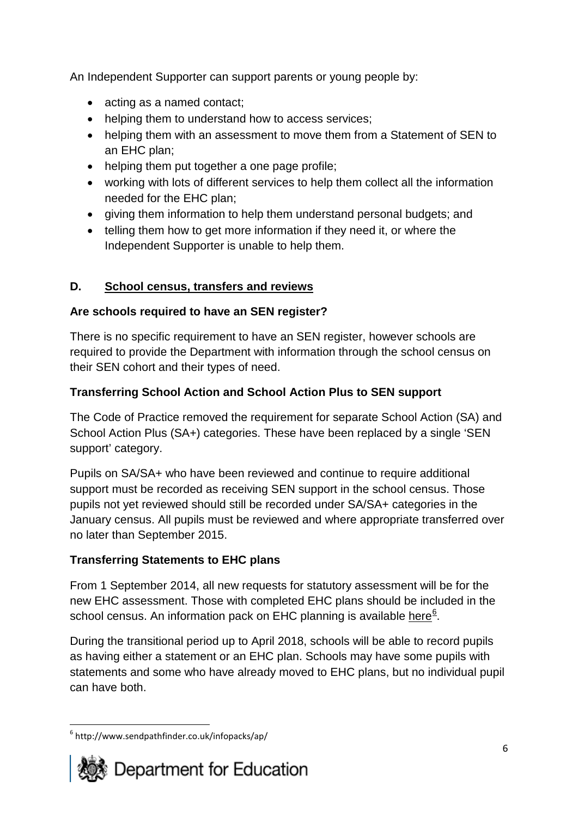An Independent Supporter can support parents or young people by:

- acting as a named contact:
- helping them to understand how to access services;
- helping them with an assessment to move them from a Statement of SEN to an EHC plan;
- helping them put together a one page profile;
- working with lots of different services to help them collect all the information needed for the EHC plan;
- giving them information to help them understand personal budgets; and
- telling them how to get more information if they need it, or where the Independent Supporter is unable to help them.

# **D. School census, transfers and reviews**

# **Are schools required to have an SEN register?**

There is no specific requirement to have an SEN register, however schools are required to provide the Department with information through the school census on their SEN cohort and their types of need.

# **Transferring School Action and School Action Plus to SEN support**

The Code of Practice removed the requirement for separate School Action (SA) and School Action Plus (SA+) categories. These have been replaced by a single 'SEN support' category.

Pupils on SA/SA+ who have been reviewed and continue to require additional support must be recorded as receiving SEN support in the school census. Those pupils not yet reviewed should still be recorded under SA/SA+ categories in the January census. All pupils must be reviewed and where appropriate transferred over no later than September 2015.

# **Transferring Statements to EHC plans**

From 1 September 2014, all new requests for statutory assessment will be for the new EHC assessment. Those with completed EHC plans should be included in the school census. An information pack on EHC planning is available [here](http://www.sendpathfinder.co.uk/infopacks/ap/)<sup>[6](#page-5-0)</sup>.

During the transitional period up to April 2018, schools will be able to record pupils as having either a statement or an EHC plan. Schools may have some pupils with statements and some who have already moved to EHC plans, but no individual pupil can have both.

<span id="page-5-0"></span> $6$  http://www.sendpathfinder.co.uk/infopacks/ap/ **.**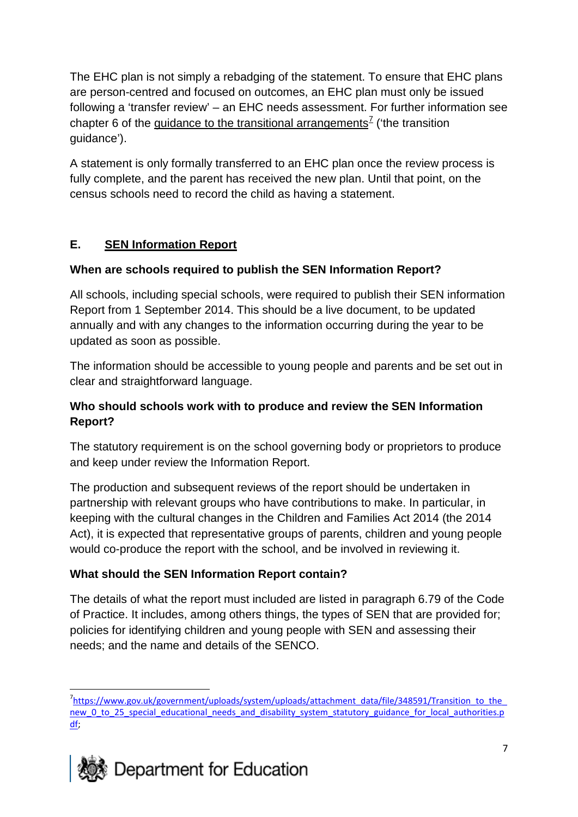The EHC plan is not simply a rebadging of the statement. To ensure that EHC plans are person-centred and focused on outcomes, an EHC plan must only be issued following a 'transfer review' – an EHC needs assessment. For further information see chapter 6 of the quidance to the transitional arrangements<sup>[7](#page-6-0)</sup> ('the transition guidance').

A statement is only formally transferred to an EHC plan once the review process is fully complete, and the parent has received the new plan. Until that point, on the census schools need to record the child as having a statement.

### **E. SEN Information Report**

### **When are schools required to publish the SEN Information Report?**

All schools, including special schools, were required to publish their SEN information Report from 1 September 2014. This should be a live document, to be updated annually and with any changes to the information occurring during the year to be updated as soon as possible.

The information should be accessible to young people and parents and be set out in clear and straightforward language.

#### **Who should schools work with to produce and review the SEN Information Report?**

The statutory requirement is on the school governing body or proprietors to produce and keep under review the Information Report.

The production and subsequent reviews of the report should be undertaken in partnership with relevant groups who have contributions to make. In particular, in keeping with the cultural changes in the Children and Families Act 2014 (the 2014 Act), it is expected that representative groups of parents, children and young people would co-produce the report with the school, and be involved in reviewing it.

### **What should the SEN Information Report contain?**

The details of what the report must included are listed in paragraph 6.79 of the Code of Practice. It includes, among others things, the types of SEN that are provided for; policies for identifying children and young people with SEN and assessing their needs; and the name and details of the SENCO.

<span id="page-6-0"></span><sup>&</sup>lt;sup>7</sup>[https://www.gov.uk/government/uploads/system/uploads/attachment\\_data/file/348591/Transition\\_to\\_the\\_](https://www.gov.uk/government/uploads/system/uploads/attachment_data/file/348591/Transition_to_the_new_0_to_25_special_educational_needs_and_disability_system_statutory_guidance_for_local_authorities.pdf) [new\\_0\\_to\\_25\\_special\\_educational\\_needs\\_and\\_disability\\_system\\_statutory\\_guidance\\_for\\_local\\_authorities.p](https://www.gov.uk/government/uploads/system/uploads/attachment_data/file/348591/Transition_to_the_new_0_to_25_special_educational_needs_and_disability_system_statutory_guidance_for_local_authorities.pdf) [df;](https://www.gov.uk/government/uploads/system/uploads/attachment_data/file/348591/Transition_to_the_new_0_to_25_special_educational_needs_and_disability_system_statutory_guidance_for_local_authorities.pdf)  $\overline{a}$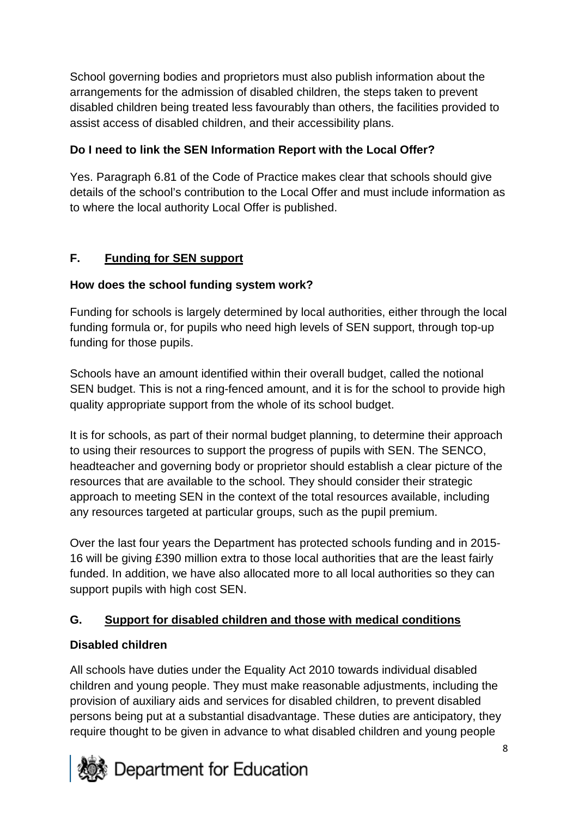School governing bodies and proprietors must also publish information about the arrangements for the admission of disabled children, the steps taken to prevent disabled children being treated less favourably than others, the facilities provided to assist access of disabled children, and their accessibility plans.

# **Do I need to link the SEN Information Report with the Local Offer?**

Yes. Paragraph 6.81 of the Code of Practice makes clear that schools should give details of the school's contribution to the Local Offer and must include information as to where the local authority Local Offer is published.

# **F. Funding for SEN support**

# **How does the school funding system work?**

Funding for schools is largely determined by local authorities, either through the local funding formula or, for pupils who need high levels of SEN support, through top-up funding for those pupils.

Schools have an amount identified within their overall budget, called the notional SEN budget. This is not a ring-fenced amount, and it is for the school to provide high quality appropriate support from the whole of its school budget.

It is for schools, as part of their normal budget planning, to determine their approach to using their resources to support the progress of pupils with SEN. The SENCO, headteacher and governing body or proprietor should establish a clear picture of the resources that are available to the school. They should consider their strategic approach to meeting SEN in the context of the total resources available, including any resources targeted at particular groups, such as the pupil premium.

Over the last four years the Department has protected schools funding and in 2015- 16 will be giving £390 million extra to those local authorities that are the least fairly funded. In addition, we have also allocated more to all local authorities so they can support pupils with high cost SEN.

# **G. Support for disabled children and those with medical conditions**

# **Disabled children**

All schools have duties under the Equality Act 2010 towards individual disabled children and young people. They must make reasonable adjustments, including the provision of auxiliary aids and services for disabled children, to prevent disabled persons being put at a substantial disadvantage. These duties are anticipatory, they require thought to be given in advance to what disabled children and young people

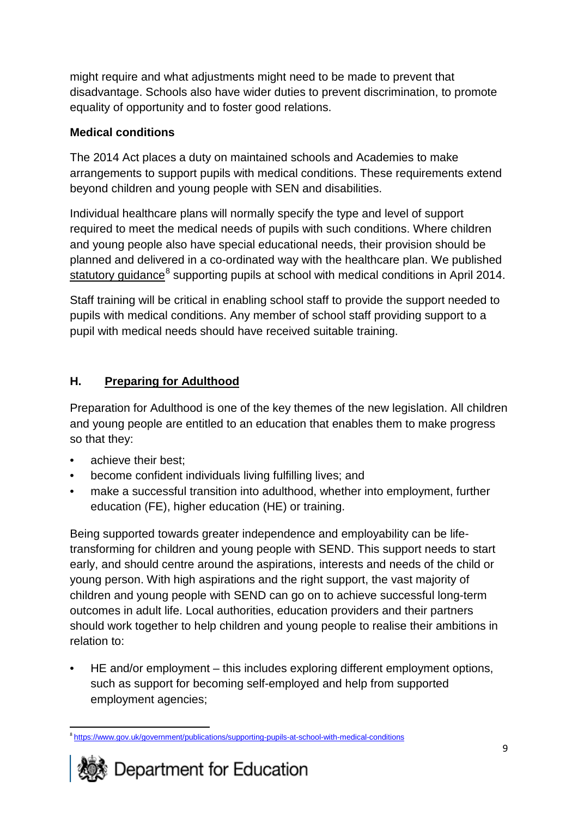might require and what adjustments might need to be made to prevent that disadvantage. Schools also have wider duties to prevent discrimination, to promote equality of opportunity and to foster good relations.

### **Medical conditions**

The 2014 Act places a duty on maintained schools and Academies to make arrangements to support pupils with medical conditions. These requirements extend beyond children and young people with SEN and disabilities.

Individual healthcare plans will normally specify the type and level of support required to meet the medical needs of pupils with such conditions. Where children and young people also have special educational needs, their provision should be planned and delivered in a co-ordinated way with the healthcare plan. We published [statutory guidance](https://www.gov.uk/government/publications/supporting-pupils-at-school-with-medical-conditions)<sup>[8](#page-8-0)</sup> supporting pupils at school with medical conditions in April 2014.

Staff training will be critical in enabling school staff to provide the support needed to pupils with medical conditions. Any member of school staff providing support to a pupil with medical needs should have received suitable training.

# **H. Preparing for Adulthood**

Preparation for Adulthood is one of the key themes of the new legislation. All children and young people are entitled to an education that enables them to make progress so that they:

- achieve their best;
- become confident individuals living fulfilling lives; and
- make a successful transition into adulthood, whether into employment, further education (FE), higher education (HE) or training.

Being supported towards greater independence and employability can be lifetransforming for children and young people with SEND. This support needs to start early, and should centre around the aspirations, interests and needs of the child or young person. With high aspirations and the right support, the vast majority of children and young people with SEND can go on to achieve successful long-term outcomes in adult life. Local authorities, education providers and their partners should work together to help children and young people to realise their ambitions in relation to:

• HE and/or employment – this includes exploring different employment options, such as support for becoming self-employed and help from supported employment agencies;

<span id="page-8-0"></span><sup>&</sup>lt;sup>8</sup> <https://www.gov.uk/government/publications/supporting-pupils-at-school-with-medical-conditions>  $\overline{a}$ 

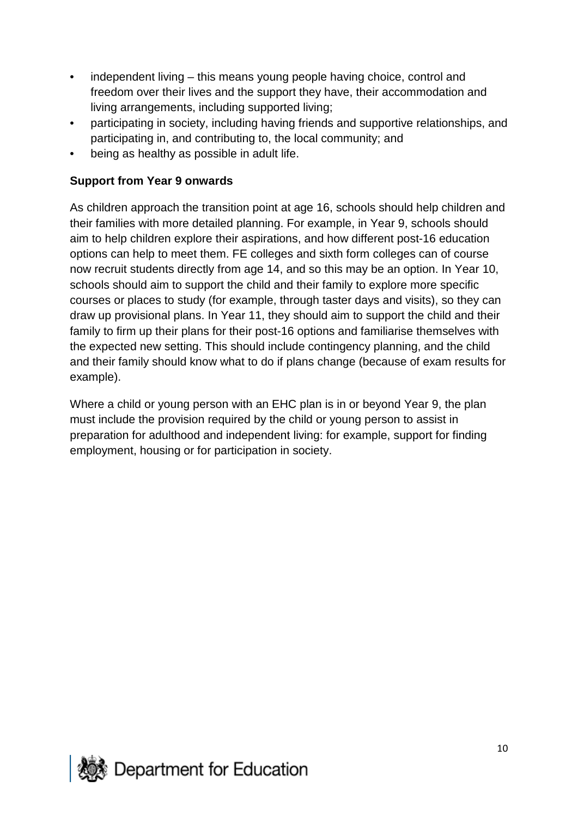- independent living this means young people having choice, control and freedom over their lives and the support they have, their accommodation and living arrangements, including supported living;
- participating in society, including having friends and supportive relationships, and participating in, and contributing to, the local community; and
- being as healthy as possible in adult life.

#### **Support from Year 9 onwards**

As children approach the transition point at age 16, schools should help children and their families with more detailed planning. For example, in Year 9, schools should aim to help children explore their aspirations, and how different post-16 education options can help to meet them. FE colleges and sixth form colleges can of course now recruit students directly from age 14, and so this may be an option. In Year 10, schools should aim to support the child and their family to explore more specific courses or places to study (for example, through taster days and visits), so they can draw up provisional plans. In Year 11, they should aim to support the child and their family to firm up their plans for their post-16 options and familiarise themselves with the expected new setting. This should include contingency planning, and the child and their family should know what to do if plans change (because of exam results for example).

Where a child or young person with an EHC plan is in or beyond Year 9, the plan must include the provision required by the child or young person to assist in preparation for adulthood and independent living: for example, support for finding employment, housing or for participation in society.

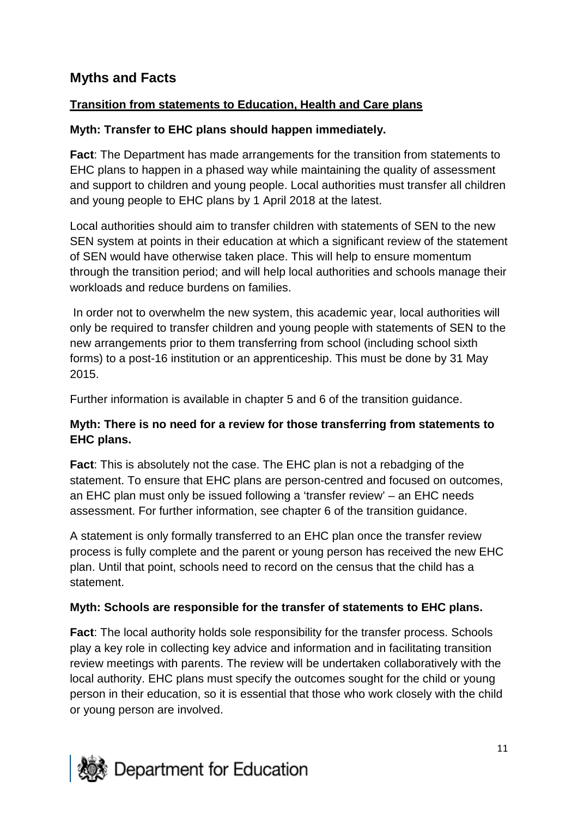# **Myths and Facts**

#### **Transition from statements to Education, Health and Care plans**

#### **Myth: Transfer to EHC plans should happen immediately.**

**Fact**: The Department has made arrangements for the transition from statements to EHC plans to happen in a phased way while maintaining the quality of assessment and support to children and young people. Local authorities must transfer all children and young people to EHC plans by 1 April 2018 at the latest.

Local authorities should aim to transfer children with statements of SEN to the new SEN system at points in their education at which a significant review of the statement of SEN would have otherwise taken place. This will help to ensure momentum through the transition period; and will help local authorities and schools manage their workloads and reduce burdens on families.

In order not to overwhelm the new system, this academic year, local authorities will only be required to transfer children and young people with statements of SEN to the new arrangements prior to them transferring from school (including school sixth forms) to a post-16 institution or an apprenticeship. This must be done by 31 May 2015.

Further information is available in chapter 5 and 6 of the transition guidance.

#### **Myth: There is no need for a review for those transferring from statements to EHC plans.**

**Fact**: This is absolutely not the case. The EHC plan is not a rebadging of the statement. To ensure that EHC plans are person-centred and focused on outcomes, an EHC plan must only be issued following a 'transfer review' – an EHC needs assessment. For further information, see chapter 6 of the transition guidance.

A statement is only formally transferred to an EHC plan once the transfer review process is fully complete and the parent or young person has received the new EHC plan. Until that point, schools need to record on the census that the child has a statement.

#### **Myth: Schools are responsible for the transfer of statements to EHC plans.**

**Fact**: The local authority holds sole responsibility for the transfer process. Schools play a key role in collecting key advice and information and in facilitating transition review meetings with parents. The review will be undertaken collaboratively with the local authority. EHC plans must specify the outcomes sought for the child or young person in their education, so it is essential that those who work closely with the child or young person are involved.

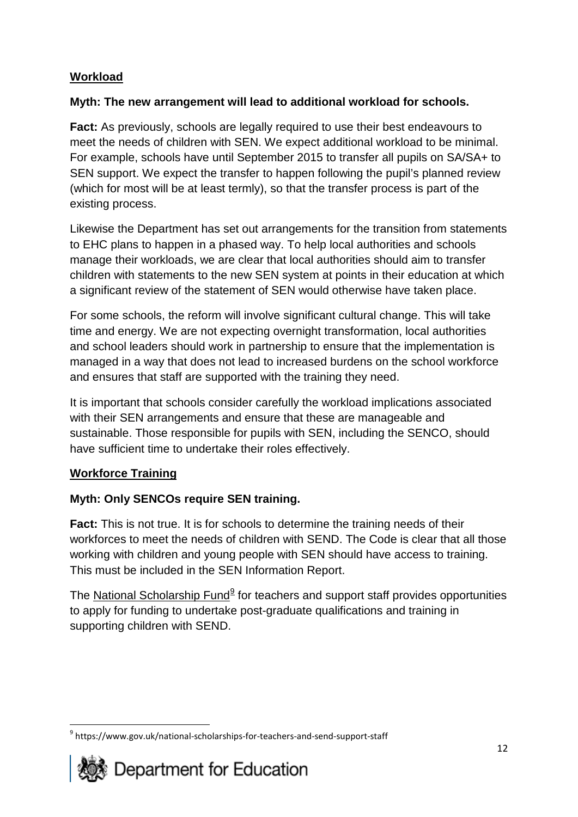### **Workload**

### **Myth: The new arrangement will lead to additional workload for schools.**

**Fact:** As previously, schools are legally required to use their best endeavours to meet the needs of children with SEN. We expect additional workload to be minimal. For example, schools have until September 2015 to transfer all pupils on SA/SA+ to SEN support. We expect the transfer to happen following the pupil's planned review (which for most will be at least termly), so that the transfer process is part of the existing process.

Likewise the Department has set out arrangements for the transition from statements to EHC plans to happen in a phased way. To help local authorities and schools manage their workloads, we are clear that local authorities should aim to transfer children with statements to the new SEN system at points in their education at which a significant review of the statement of SEN would otherwise have taken place.

For some schools, the reform will involve significant cultural change. This will take time and energy. We are not expecting overnight transformation, local authorities and school leaders should work in partnership to ensure that the implementation is managed in a way that does not lead to increased burdens on the school workforce and ensures that staff are supported with the training they need.

It is important that schools consider carefully the workload implications associated with their SEN arrangements and ensure that these are manageable and sustainable. Those responsible for pupils with SEN, including the SENCO, should have sufficient time to undertake their roles effectively.

### **Workforce Training**

### **Myth: Only SENCOs require SEN training.**

**Fact:** This is not true. It is for schools to determine the training needs of their workforces to meet the needs of children with SEND. The Code is clear that all those working with children and young people with SEN should have access to training. This must be included in the SEN Information Report.

The [National Scholarship Fund](https://www.gov.uk/national-scholarships-for-teachers-and-send-support-staff) $9$  for teachers and support staff provides opportunities to apply for funding to undertake post-graduate qualifications and training in supporting children with SEND.

<span id="page-11-0"></span><sup>&</sup>lt;sup>9</sup> https://www.gov.uk/national-scholarships-for-teachers-and-send-support-staff **.**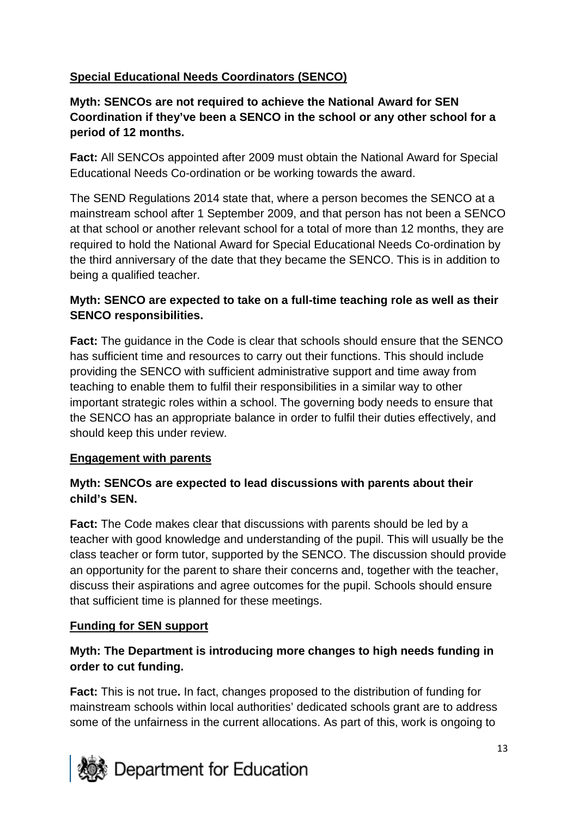### **Special Educational Needs Coordinators (SENCO)**

### **Myth: SENCOs are not required to achieve the National Award for SEN Coordination if they've been a SENCO in the school or any other school for a period of 12 months.**

**Fact:** All SENCOs appointed after 2009 must obtain the National Award for Special Educational Needs Co-ordination or be working towards the award.

The SEND Regulations 2014 state that, where a person becomes the SENCO at a mainstream school after 1 September 2009, and that person has not been a SENCO at that school or another relevant school for a total of more than 12 months, they are required to hold the National Award for Special Educational Needs Co-ordination by the third anniversary of the date that they became the SENCO. This is in addition to being a qualified teacher.

### **Myth: SENCO are expected to take on a full-time teaching role as well as their SENCO responsibilities.**

**Fact:** The guidance in the Code is clear that schools should ensure that the SENCO has sufficient time and resources to carry out their functions. This should include providing the SENCO with sufficient administrative support and time away from teaching to enable them to fulfil their responsibilities in a similar way to other important strategic roles within a school. The governing body needs to ensure that the SENCO has an appropriate balance in order to fulfil their duties effectively, and should keep this under review.

### **Engagement with parents**

### **Myth: SENCOs are expected to lead discussions with parents about their child's SEN.**

**Fact:** The Code makes clear that discussions with parents should be led by a teacher with good knowledge and understanding of the pupil. This will usually be the class teacher or form tutor, supported by the SENCO. The discussion should provide an opportunity for the parent to share their concerns and, together with the teacher, discuss their aspirations and agree outcomes for the pupil. Schools should ensure that sufficient time is planned for these meetings.

### **Funding for SEN support**

### **Myth: The Department is introducing more changes to high needs funding in order to cut funding.**

**Fact:** This is not true**.** In fact, changes proposed to the distribution of funding for mainstream schools within local authorities' dedicated schools grant are to address some of the unfairness in the current allocations. As part of this, work is ongoing to

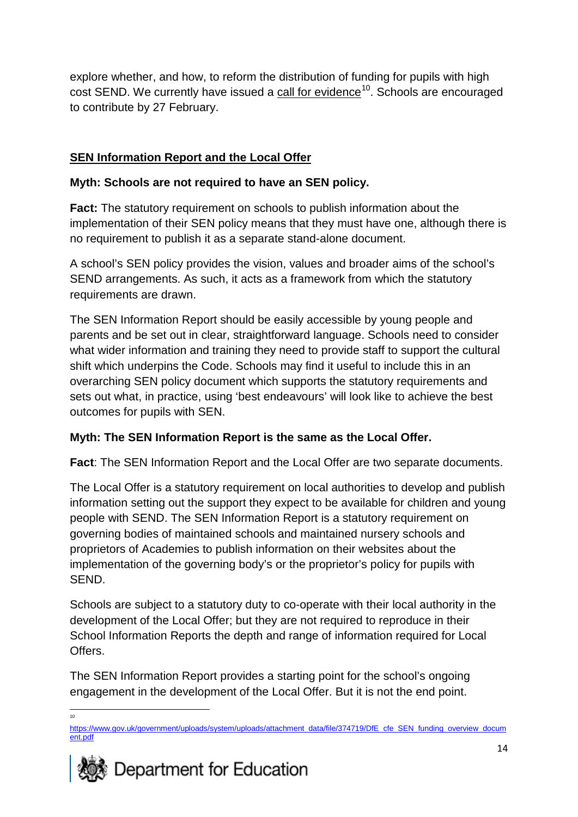explore whether, and how, to reform the distribution of funding for pupils with high cost SEND. We currently have issued a [call for evidence](https://www.gov.uk/government/uploads/system/uploads/attachment_data/file/374719/DfE_cfe_SEN_funding_overview_document.pdf)<sup>[10](#page-13-0)</sup>. Schools are encouraged to contribute by 27 February.

# **SEN Information Report and the Local Offer**

### **Myth: Schools are not required to have an SEN policy.**

**Fact:** The statutory requirement on schools to publish information about the implementation of their SEN policy means that they must have one, although there is no requirement to publish it as a separate stand-alone document.

A school's SEN policy provides the vision, values and broader aims of the school's SEND arrangements. As such, it acts as a framework from which the statutory requirements are drawn.

The SEN Information Report should be easily accessible by young people and parents and be set out in clear, straightforward language. Schools need to consider what wider information and training they need to provide staff to support the cultural shift which underpins the Code. Schools may find it useful to include this in an overarching SEN policy document which supports the statutory requirements and sets out what, in practice, using 'best endeavours' will look like to achieve the best outcomes for pupils with SEN.

### **Myth: The SEN Information Report is the same as the Local Offer.**

**Fact**: The SEN Information Report and the Local Offer are two separate documents.

The Local Offer is a statutory requirement on local authorities to develop and publish information setting out the support they expect to be available for children and young people with SEND. The SEN Information Report is a statutory requirement on governing bodies of maintained schools and maintained nursery schools and proprietors of Academies to publish information on their websites about the implementation of the governing body's or the proprietor's policy for pupils with SEND.

Schools are subject to a statutory duty to co-operate with their local authority in the development of the Local Offer; but they are not required to reproduce in their School Information Reports the depth and range of information required for Local Offers.

The SEN Information Report provides a starting point for the school's ongoing engagement in the development of the Local Offer. But it is not the end point.

 $\frac{1}{10}$ 

<span id="page-13-0"></span>[https://www.gov.uk/government/uploads/system/uploads/attachment\\_data/file/374719/DfE\\_cfe\\_SEN\\_funding\\_overview\\_docum](https://www.gov.uk/government/uploads/system/uploads/attachment_data/file/374719/DfE_cfe_SEN_funding_overview_document.pdf) [ent.pdf](https://www.gov.uk/government/uploads/system/uploads/attachment_data/file/374719/DfE_cfe_SEN_funding_overview_document.pdf)